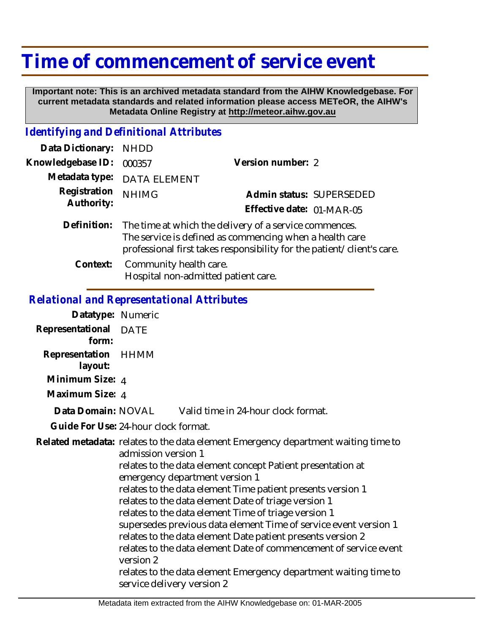## **Time of commencement of service event**

 **Important note: This is an archived metadata standard from the AIHW Knowledgebase. For current metadata standards and related information please access METeOR, the AIHW's Metadata Online Registry at http://meteor.aihw.gov.au**

## *Identifying and Definitional Attributes*

| Data Dictionary:           | <b>NHDD</b>                                                                                                                                                                                             |                           |  |
|----------------------------|---------------------------------------------------------------------------------------------------------------------------------------------------------------------------------------------------------|---------------------------|--|
| Knowledgebase ID:          | 000357                                                                                                                                                                                                  | Version number: 2         |  |
| Metadata type:             | <b>DATA ELEMENT</b>                                                                                                                                                                                     |                           |  |
| Registration<br>Authority: | <b>NHIMG</b>                                                                                                                                                                                            | Admin status: SUPERSEDED  |  |
|                            |                                                                                                                                                                                                         | Effective date: 01-MAR-05 |  |
|                            | Definition: The time at which the delivery of a service commences.<br>The service is defined as commencing when a health care<br>professional first takes responsibility for the patient/client's care. |                           |  |
|                            | Context: Community health care.<br>Hospital non-admitted patient care.                                                                                                                                  |                           |  |

## *Relational and Representational Attributes*

| Datatype: Numeric                    |                                                                                                                                                                                                                                                                                                                                                                                                                                                                                                                                                                                                                                                                                                                  |                                     |  |
|--------------------------------------|------------------------------------------------------------------------------------------------------------------------------------------------------------------------------------------------------------------------------------------------------------------------------------------------------------------------------------------------------------------------------------------------------------------------------------------------------------------------------------------------------------------------------------------------------------------------------------------------------------------------------------------------------------------------------------------------------------------|-------------------------------------|--|
| Representational DATE<br>form:       |                                                                                                                                                                                                                                                                                                                                                                                                                                                                                                                                                                                                                                                                                                                  |                                     |  |
| Representation HHMM<br>layout:       |                                                                                                                                                                                                                                                                                                                                                                                                                                                                                                                                                                                                                                                                                                                  |                                     |  |
| Minimum Size: 4                      |                                                                                                                                                                                                                                                                                                                                                                                                                                                                                                                                                                                                                                                                                                                  |                                     |  |
| Maximum Size: 4                      |                                                                                                                                                                                                                                                                                                                                                                                                                                                                                                                                                                                                                                                                                                                  |                                     |  |
| Data Domain: NOVAL                   |                                                                                                                                                                                                                                                                                                                                                                                                                                                                                                                                                                                                                                                                                                                  | Valid time in 24-hour clock format. |  |
| Guide For Use: 24-hour clock format. |                                                                                                                                                                                                                                                                                                                                                                                                                                                                                                                                                                                                                                                                                                                  |                                     |  |
|                                      | Related metadata: relates to the data element Emergency department waiting time to<br>admission version 1<br>relates to the data element concept Patient presentation at<br>emergency department version 1<br>relates to the data element Time patient presents version 1<br>relates to the data element Date of triage version 1<br>relates to the data element Time of triage version 1<br>supersedes previous data element Time of service event version 1<br>relates to the data element Date patient presents version 2<br>relates to the data element Date of commencement of service event<br>version 2<br>relates to the data element Emergency department waiting time to<br>service delivery version 2 |                                     |  |